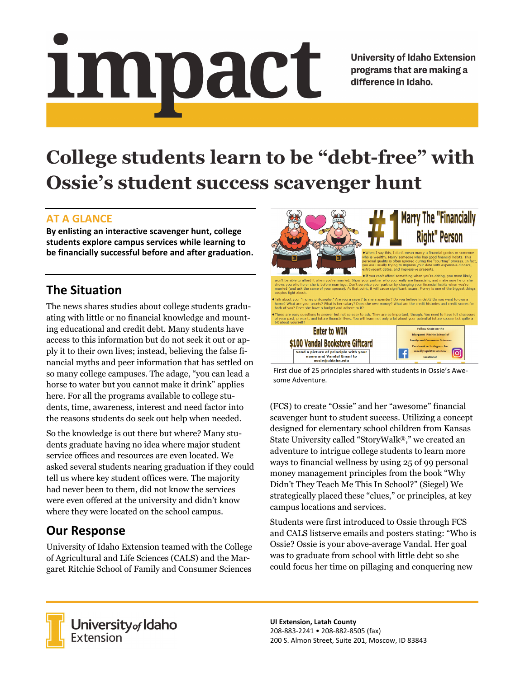# Impact

**University of Idaho Extension** programs that are making a difference in Idaho.

# **College students learn to be "debt-free" with Ossie's student success scavenger hunt**

#### **AT A GLANCE**

**By enlisting an interactive scavenger hunt, college students explore campus services while learning to be financially successful before and after graduation.** 

### **The Situation**

The news shares studies about college students graduating with little or no financial knowledge and mounting educational and credit debt. Many students have access to this information but do not seek it out or apply it to their own lives; instead, believing the false financial myths and peer information that has settled on so many college campuses. The adage, "you can lead a horse to water but you cannot make it drink" applies here. For all the programs available to college students, time, awareness, interest and need factor into the reasons students do seek out help when needed.

So the knowledge is out there but where? Many students graduate having no idea where major student service offices and resources are even located. We asked several students nearing graduation if they could tell us where key student offices were. The majority had never been to them, did not know the services were even offered at the university and didn't know where they were located on the school campus.

## **Our Response**

University of Idaho Extension teamed with the College of Agricultural and Life Sciences (CALS) and the Margaret Ritchie School of Family and Consumer Sciences



First clue of 25 principles shared with students in Ossie's Awe‐ some Adventure.

(FCS) to create "Ossie" and her "awesome" financial scavenger hunt to student success. Utilizing a concept designed for elementary school children from Kansas State University called "StoryWalk®," we created an adventure to intrigue college students to learn more ways to financial wellness by using 25 of 99 personal money management principles from the book "Why Didn't They Teach Me This In School?" (Siegel) We strategically placed these "clues," or principles, at key campus locations and services.

Students were first introduced to Ossie through FCS and CALS listserve emails and posters stating: "Who is Ossie? Ossie is your above-average Vandal. Her goal was to graduate from school with little debt so she could focus her time on pillaging and conquering new



University<sub>of</sub> Idaho Extension

**UI Extension, Latah County**  208‐883‐2241 • 208‐882‐8505 (fax) 200 S. Almon Street, Suite 201, Moscow, ID 83843